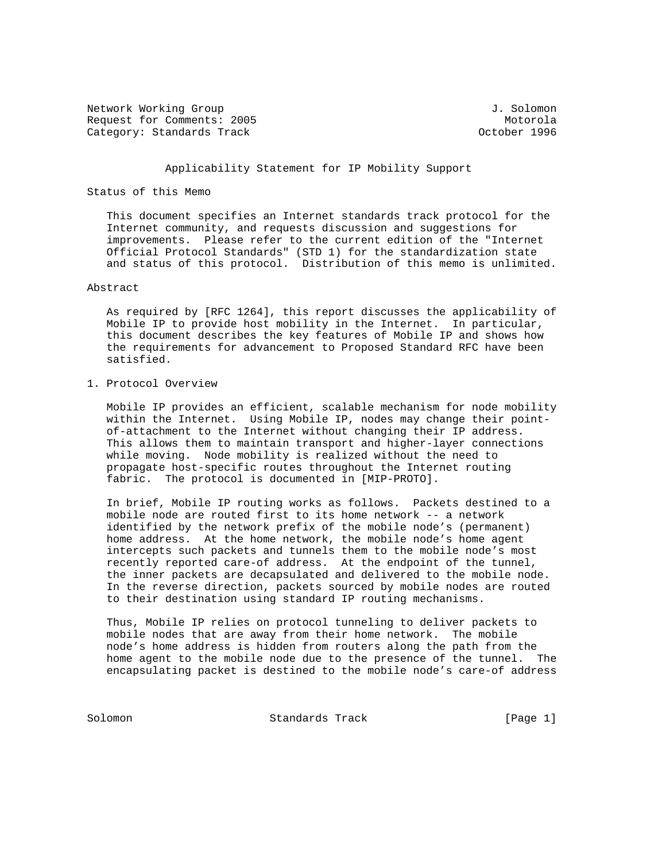Network Working Group J. Solomon Request for Comments: 2005<br>Category: Standards Track entries and the comments of the Motorola Category: Standards Track

# Applicability Statement for IP Mobility Support

# Status of this Memo

 This document specifies an Internet standards track protocol for the Internet community, and requests discussion and suggestions for improvements. Please refer to the current edition of the "Internet Official Protocol Standards" (STD 1) for the standardization state and status of this protocol. Distribution of this memo is unlimited.

## Abstract

 As required by [RFC 1264], this report discusses the applicability of Mobile IP to provide host mobility in the Internet. In particular, this document describes the key features of Mobile IP and shows how the requirements for advancement to Proposed Standard RFC have been satisfied.

1. Protocol Overview

 Mobile IP provides an efficient, scalable mechanism for node mobility within the Internet. Using Mobile IP, nodes may change their point of-attachment to the Internet without changing their IP address. This allows them to maintain transport and higher-layer connections while moving. Node mobility is realized without the need to propagate host-specific routes throughout the Internet routing fabric. The protocol is documented in [MIP-PROTO].

 In brief, Mobile IP routing works as follows. Packets destined to a mobile node are routed first to its home network -- a network identified by the network prefix of the mobile node's (permanent) home address. At the home network, the mobile node's home agent intercepts such packets and tunnels them to the mobile node's most recently reported care-of address. At the endpoint of the tunnel, the inner packets are decapsulated and delivered to the mobile node. In the reverse direction, packets sourced by mobile nodes are routed to their destination using standard IP routing mechanisms.

 Thus, Mobile IP relies on protocol tunneling to deliver packets to mobile nodes that are away from their home network. The mobile node's home address is hidden from routers along the path from the home agent to the mobile node due to the presence of the tunnel. The encapsulating packet is destined to the mobile node's care-of address

Solomon Standards Track [Page 1]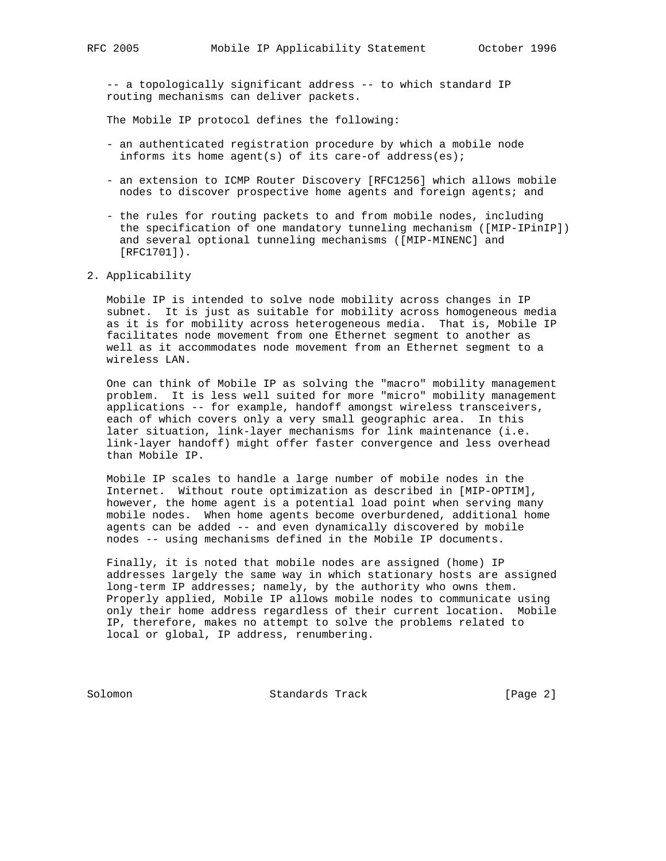-- a topologically significant address -- to which standard IP routing mechanisms can deliver packets.

The Mobile IP protocol defines the following:

- an authenticated registration procedure by which a mobile node informs its home agent(s) of its care-of address(es);
- an extension to ICMP Router Discovery [RFC1256] which allows mobile nodes to discover prospective home agents and foreign agents; and
- the rules for routing packets to and from mobile nodes, including the specification of one mandatory tunneling mechanism ([MIP-IPinIP]) and several optional tunneling mechanisms ([MIP-MINENC] and [RFC1701]).
- 2. Applicability

 Mobile IP is intended to solve node mobility across changes in IP subnet. It is just as suitable for mobility across homogeneous media as it is for mobility across heterogeneous media. That is, Mobile IP facilitates node movement from one Ethernet segment to another as well as it accommodates node movement from an Ethernet segment to a wireless LAN.

 One can think of Mobile IP as solving the "macro" mobility management problem. It is less well suited for more "micro" mobility management applications -- for example, handoff amongst wireless transceivers, each of which covers only a very small geographic area. In this later situation, link-layer mechanisms for link maintenance (i.e. link-layer handoff) might offer faster convergence and less overhead than Mobile IP.

 Mobile IP scales to handle a large number of mobile nodes in the Internet. Without route optimization as described in [MIP-OPTIM], however, the home agent is a potential load point when serving many mobile nodes. When home agents become overburdened, additional home agents can be added -- and even dynamically discovered by mobile nodes -- using mechanisms defined in the Mobile IP documents.

 Finally, it is noted that mobile nodes are assigned (home) IP addresses largely the same way in which stationary hosts are assigned long-term IP addresses; namely, by the authority who owns them. Properly applied, Mobile IP allows mobile nodes to communicate using only their home address regardless of their current location. Mobile IP, therefore, makes no attempt to solve the problems related to local or global, IP address, renumbering.

Solomon Standards Track [Page 2]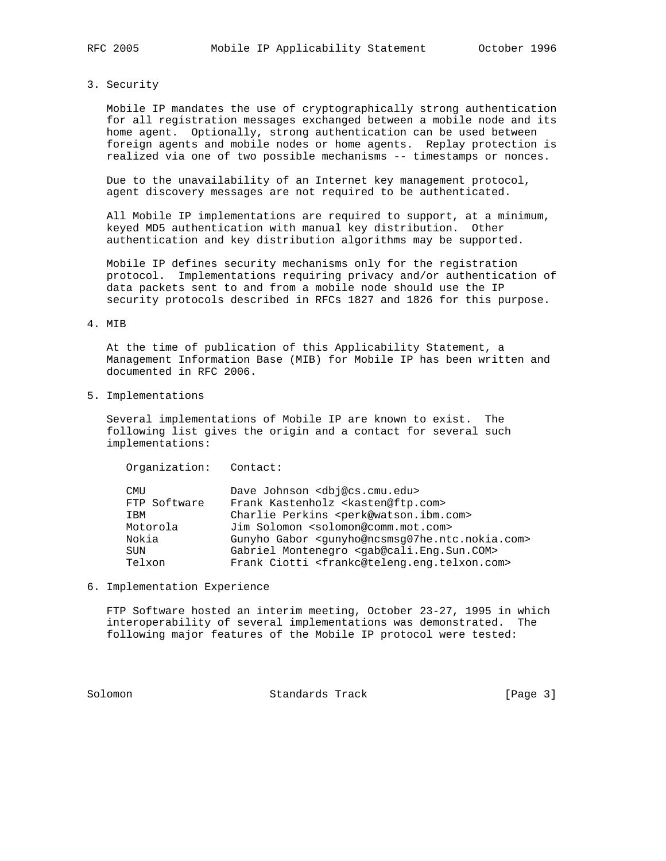#### 3. Security

 Mobile IP mandates the use of cryptographically strong authentication for all registration messages exchanged between a mobile node and its home agent. Optionally, strong authentication can be used between foreign agents and mobile nodes or home agents. Replay protection is realized via one of two possible mechanisms -- timestamps or nonces.

 Due to the unavailability of an Internet key management protocol, agent discovery messages are not required to be authenticated.

 All Mobile IP implementations are required to support, at a minimum, keyed MD5 authentication with manual key distribution. Other authentication and key distribution algorithms may be supported.

 Mobile IP defines security mechanisms only for the registration protocol. Implementations requiring privacy and/or authentication of data packets sent to and from a mobile node should use the IP security protocols described in RFCs 1827 and 1826 for this purpose.

## 4. MIB

 At the time of publication of this Applicability Statement, a Management Information Base (MIB) for Mobile IP has been written and documented in RFC 2006.

5. Implementations

 Several implementations of Mobile IP are known to exist. The following list gives the origin and a contact for several such implementations:

Organization: Contact:

| Dave Johnson <dbj@cs.cmu.edu></dbj@cs.cmu.edu>                                   |
|----------------------------------------------------------------------------------|
| Frank Kastenholz <kasten@ftp.com></kasten@ftp.com>                               |
| Charlie Perkins <perk@watson.ibm.com></perk@watson.ibm.com>                      |
| Jim Solomon <solomon@comm.mot.com></solomon@comm.mot.com>                        |
| Gunyho Gabor <qunyho@ncsmsq07he.ntc.nokia.com></qunyho@ncsmsq07he.ntc.nokia.com> |
| Gabriel Montenegro <gab@cali.eng.sun.com></gab@cali.eng.sun.com>                 |
| Frank Ciotti <frankc@teleng.eng.telxon.com></frankc@teleng.eng.telxon.com>       |
|                                                                                  |

### 6. Implementation Experience

 FTP Software hosted an interim meeting, October 23-27, 1995 in which interoperability of several implementations was demonstrated. The following major features of the Mobile IP protocol were tested:

Solomon Standards Track [Page 3]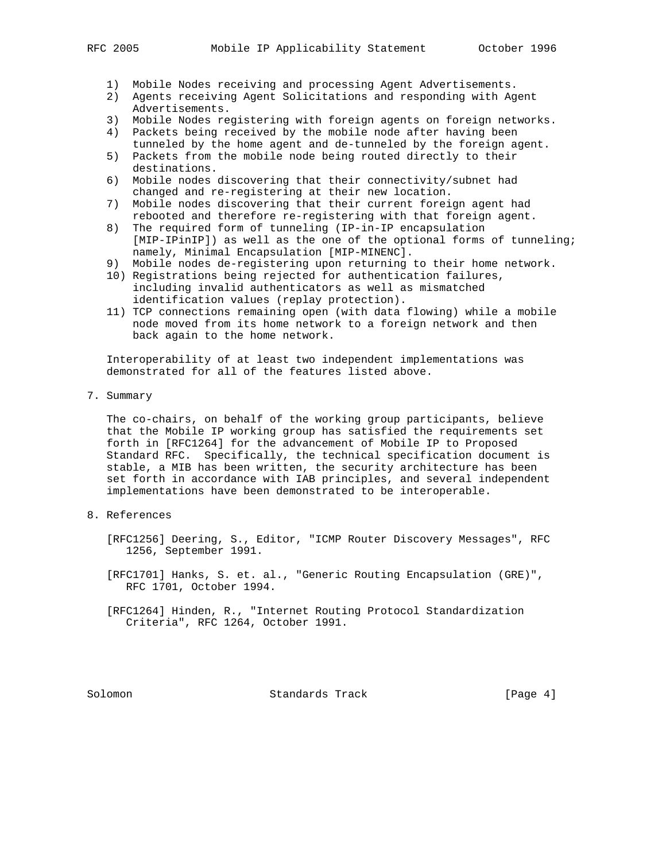- 1) Mobile Nodes receiving and processing Agent Advertisements.
- 2) Agents receiving Agent Solicitations and responding with Agent Advertisements.
- 3) Mobile Nodes registering with foreign agents on foreign networks.
- 4) Packets being received by the mobile node after having been
- tunneled by the home agent and de-tunneled by the foreign agent. 5) Packets from the mobile node being routed directly to their destinations.
- 6) Mobile nodes discovering that their connectivity/subnet had changed and re-registering at their new location.
- 7) Mobile nodes discovering that their current foreign agent had rebooted and therefore re-registering with that foreign agent.
- 8) The required form of tunneling (IP-in-IP encapsulation [MIP-IPinIP]) as well as the one of the optional forms of tunneling; namely, Minimal Encapsulation [MIP-MINENC].
- 9) Mobile nodes de-registering upon returning to their home network.
- 10) Registrations being rejected for authentication failures, including invalid authenticators as well as mismatched identification values (replay protection).
- 11) TCP connections remaining open (with data flowing) while a mobile node moved from its home network to a foreign network and then back again to the home network.

 Interoperability of at least two independent implementations was demonstrated for all of the features listed above.

7. Summary

 The co-chairs, on behalf of the working group participants, believe that the Mobile IP working group has satisfied the requirements set forth in [RFC1264] for the advancement of Mobile IP to Proposed Standard RFC. Specifically, the technical specification document is stable, a MIB has been written, the security architecture has been set forth in accordance with IAB principles, and several independent implementations have been demonstrated to be interoperable.

- 8. References
	- [RFC1256] Deering, S., Editor, "ICMP Router Discovery Messages", RFC 1256, September 1991.
	- [RFC1701] Hanks, S. et. al., "Generic Routing Encapsulation (GRE)", RFC 1701, October 1994.
	- [RFC1264] Hinden, R., "Internet Routing Protocol Standardization Criteria", RFC 1264, October 1991.

Solomon Standards Track [Page 4]